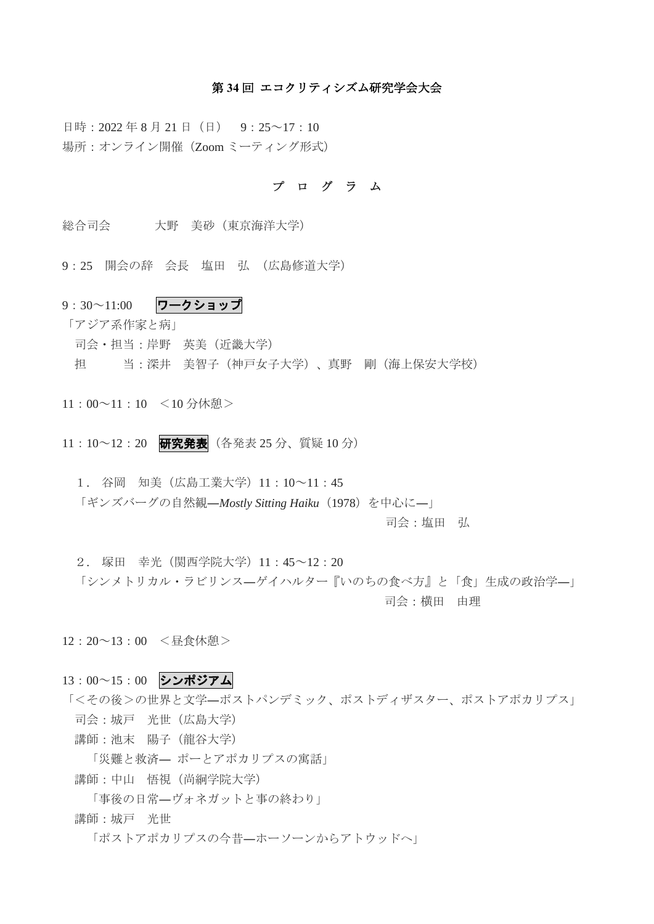#### 第 **34** 回 エコクリティシズム研究学会大会

日時: 2022年8月21日 (日) 9:25~17:10 場所:オンライン開催(Zoom ミーティング形式)

#### プ ロ グ ラ ム

- 総合司会 大野 美砂(東京海洋大学)
- 9:25 開会の辞 会長 塩田 弘 (広島修道大学)
- 9:30~11:00 ワークショップ

「アジア系作家と病」

- 司会・担当:岸野 英美(近畿大学)
- 担 当:深井 美智子(神戸女子大学)、真野 剛(海上保安大学校)
- 11:00~11:10 <10 分休憩>
- 11:10~12:20 研究発表 (各発表 25分、質疑 10分)
	- 1. 谷岡 知美(広島工業大学)11:10~11:45 「ギンズバーグの自然観―*Mostly Sitting Haiku*(1978)を中心に―」

司会:塩田 弘

- 2. 塚田 幸光(関西学院大学)11:45~12:20 「シンメトリカル・ラビリンス―ゲイハルター『いのちの食べ方』と「食」生成の政治学―」 司会:横田 由理
- 12:20~13:00 <昼食休憩>
- 13:00~15:00 シンポジアム
- 「<その後>の世界と文学―ポストパンデミック、ポストディザスター、ポストアポカリプス」 司会:城戸 光世(広島大学) 講師:池末 陽子(龍谷大学)
	- 「災難と救済― ポーとアポカリプスの寓話」
	- 講師:中山 悟視(尚絅学院大学)
		- 「事後の日常―ヴォネガットと事の終わり」
	- 講師:城戸 光世
		- 「ポストアポカリプスの今昔―ホーソーンからアトウッドへ」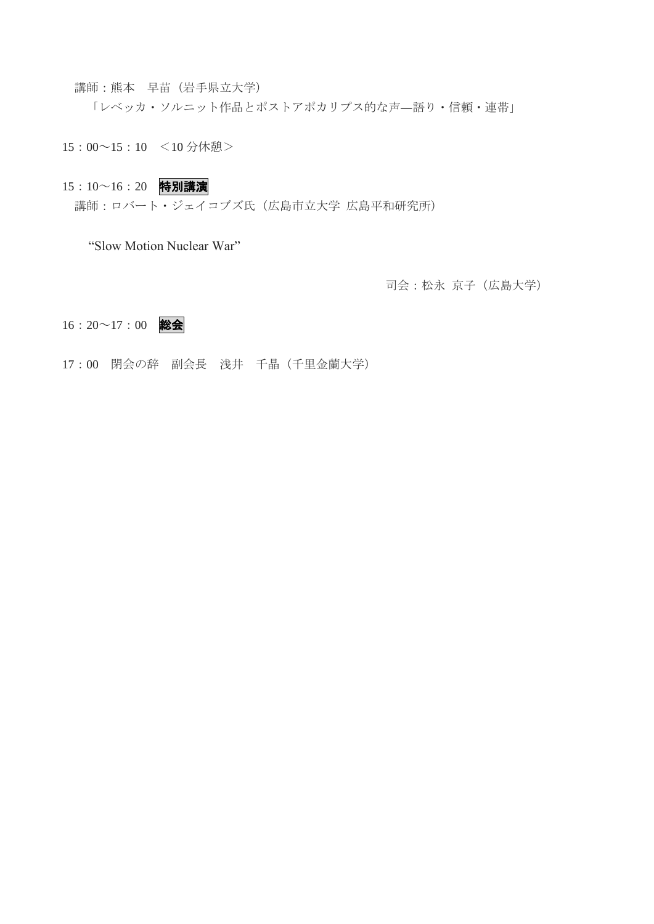講師:熊本 早苗(岩手県立大学)

「レベッカ・ソルニット作品とポストアポカリプス的な声–語り・信頼・連帯」

15:00~15:10 <10 分休憩>

### 15:10~16:20 特別講演

講師:ロバート・ジェイコブズ氏(広島市立大学 広島平和研究所)

"Slow Motion Nuclear War"

司会:松永 京子(広島大学)

## $16:20 \sim 17:00$  総会

17:00 閉会の辞 副会長 浅井 千晶(千里金蘭大学)